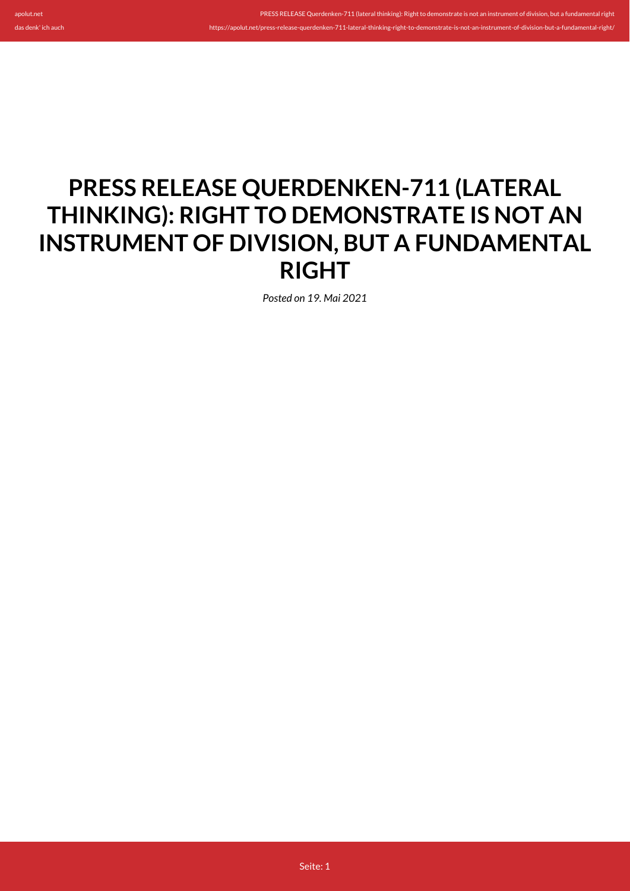apolut.net

PRESS RELEASE Querdenken-711 (lateral thinking): Right to demonstrate is not an instrument of division, but a fundamental rightion.

## **PRESS RELEASE QUERDENKEN-711 (LATERAL THINKING): RIGHT TO DEMONSTRATE IS NOT AN INSTRUMENT OF DIVISION, BUT A FUNDAMENTAL RIGHT**

*Posted on 19. Mai 2021*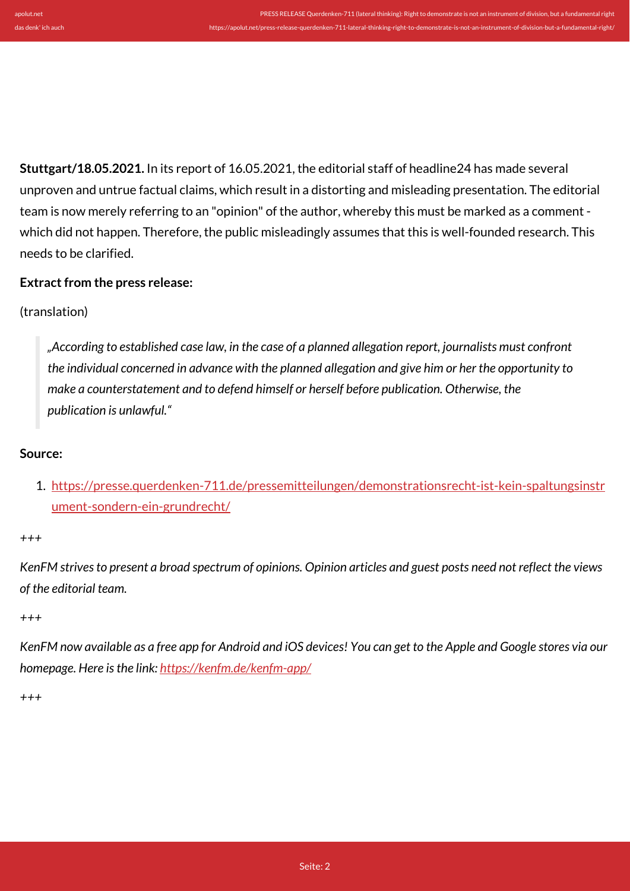https://apolut.net/press-release-querdenken-711-lateral-thinking-right-to-demonstrate-is-not-an-instrument-of-division-but-a-fundamental-right/

**Stuttgart/18.05.2021.** In its report of 16.05.2021, the editorial staff of headline24 has made several unproven and untrue factual claims, which result in a distorting and misleading presentation. The editorial team is now merely referring to an "opinion" of the author, whereby this must be marked as a comment which did not happen. Therefore, the public misleadingly assumes that this is well-founded research. This needs to be clarified.

## **Extract from the press release:**

## (translation)

*"According to established case law, in the case of a planned allegation report, journalists must confront the individual concerned in advance with the planned allegation and give him or her the opportunity to make a counterstatement and to defend himself or herself before publication. Otherwise, the publication is unlawful."*

## **Source:**

1. [https://presse.querdenken-711.de/pressemitteilungen/demonstrationsrecht-ist-kein-spaltungsinstr](https://presse.querdenken-711.de/pressemitteilungen/demonstrationsrecht-ist-kein-spaltungsinstrument-sondern-ein-grundrecht/) [ument-sondern-ein-grundrecht/](https://presse.querdenken-711.de/pressemitteilungen/demonstrationsrecht-ist-kein-spaltungsinstrument-sondern-ein-grundrecht/)

*+++*

*KenFM strives to present a broad spectrum of opinions. Opinion articles and guest posts need not reflect the views of the editorial team.*

*+++*

*KenFM now available as a free app for Android and iOS devices! You can get to the Apple and Google stores via our homepage. Here is the link:<https://kenfm.de/kenfm-app/>*

*+++*